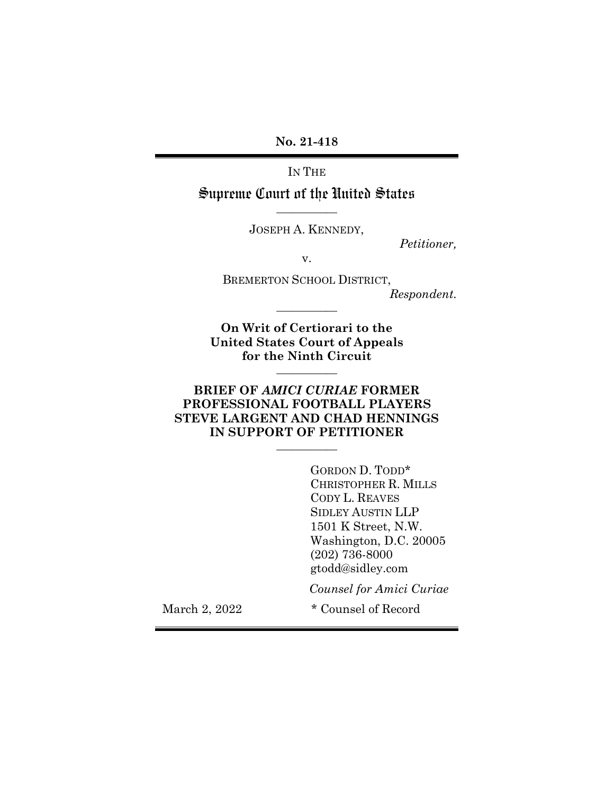**No. 21-418**

IN THE

Supreme Court of the United States **\_\_\_\_\_\_\_\_\_\_\_**

JOSEPH A. KENNEDY,

*Petitioner,*

v.

BREMERTON SCHOOL DISTRICT,

*Respondent.*

**On Writ of Certiorari to the United States Court of Appeals for the Ninth Circuit**

**\_\_\_\_\_\_\_\_\_\_\_**

**\_\_\_\_\_\_\_\_\_\_\_**

#### **BRIEF OF** *AMICI CURIAE* **FORMER PROFESSIONAL FOOTBALL PLAYERS STEVE LARGENT AND CHAD HENNINGS IN SUPPORT OF PETITIONER \_\_\_\_\_\_\_\_\_\_\_**

GORDON D. TODD\* CHRISTOPHER R. MILLS CODY L. REAVES SIDLEY AUSTIN LLP 1501 K Street, N.W. Washington, D.C. 20005 (202) 736-8000 gtodd@sidley.com

*Counsel for Amici Curiae*

March 2, 2022 \* Counsel of Record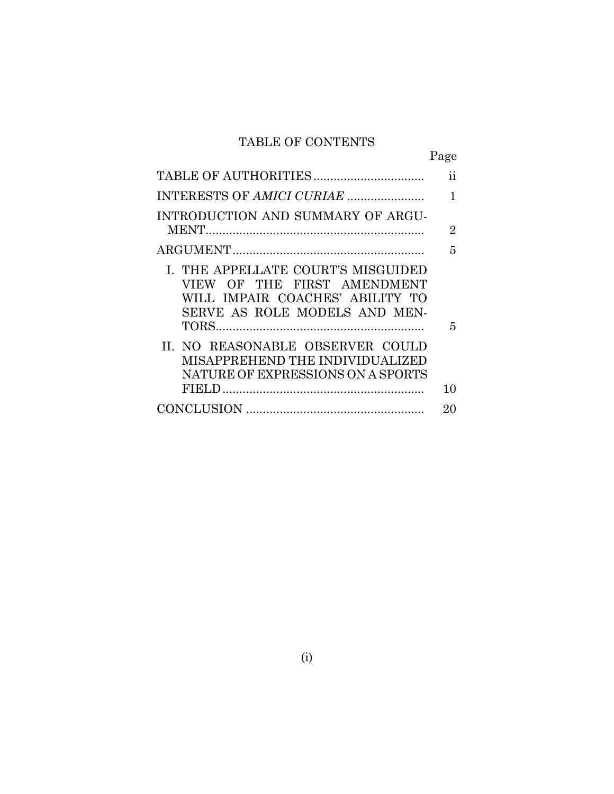# TABLE OF CONTENTS

|                                                                                                                                       | Page |
|---------------------------------------------------------------------------------------------------------------------------------------|------|
|                                                                                                                                       | 11   |
|                                                                                                                                       | 1    |
| INTRODUCTION AND SUMMARY OF ARGU-                                                                                                     |      |
|                                                                                                                                       | 2    |
|                                                                                                                                       | 5    |
| I. THE APPELLATE COURT'S MISGUIDED<br>VIEW OF THE FIRST AMENDMENT<br>WILL IMPAIR COACHES' ABILITY TO<br>SERVE AS ROLE MODELS AND MEN- | 5    |
| II. NO REASONABLE OBSERVER COULD<br>MISAPPREHEND THE INDIVIDUALIZED<br>NATURE OF EXPRESSIONS ON A SPORTS                              | 10   |
|                                                                                                                                       | 20   |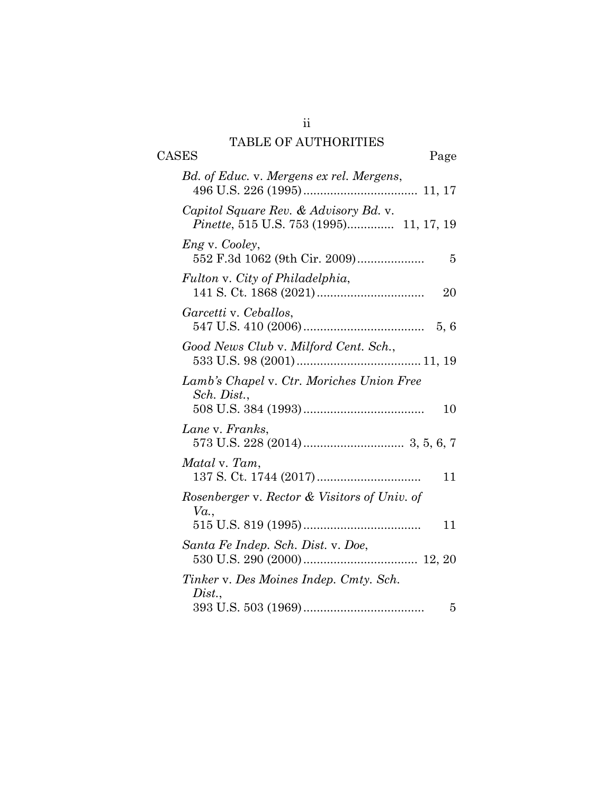# TABLE OF AUTHORITIES

| TADLE OF AUTHOMITIES                                           |
|----------------------------------------------------------------|
| <b>CASES</b><br>Page                                           |
| Bd. of Educ. v. Mergens ex rel. Mergens,                       |
| Capitol Square Rev. & Advisory Bd. v.                          |
| <i>Engv. Cooley,</i><br>552 F.3d 1062 (9th Cir. 2009)<br>5     |
| Fulton v. City of Philadelphia,<br>20                          |
| Garcetti v. Ceballos,                                          |
| Good News Club v. Milford Cent. Sch.,                          |
| Lamb's Chapel v. Ctr. Moriches Union Free<br>Sch. Dist.,<br>10 |
| Lane v. Franks,                                                |
| Matal v. Tam,<br>11                                            |
| Rosenberger v. Rector & Visitors of Univ. of<br>Va.,           |
| 11                                                             |
| Santa Fe Indep. Sch. Dist. v. Doe,                             |
| Tinker v. Des Moines Indep. Cmty. Sch.<br>Dist.,               |
| 5                                                              |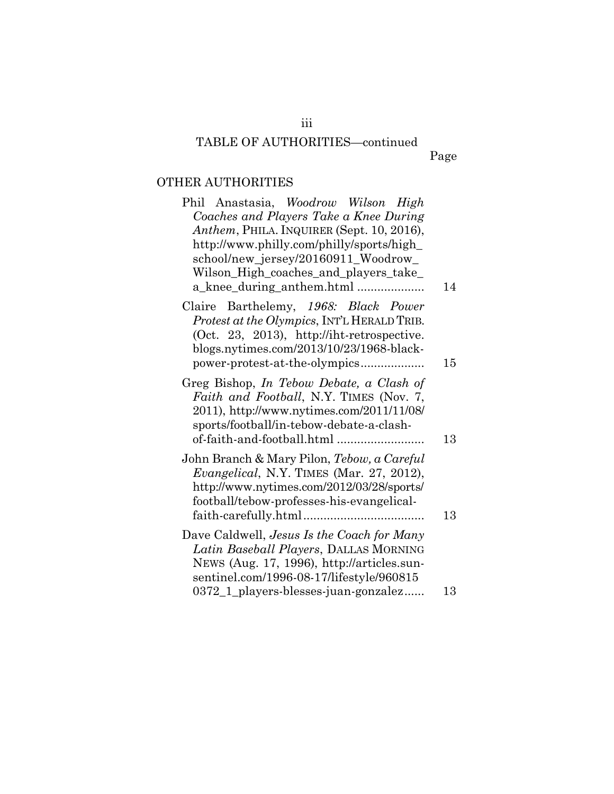## TABLE OF AUTHORITIES—continued

## OTHER AUTHORITIES

| Phil Anastasia, Woodrow Wilson High<br>Coaches and Players Take a Knee During<br>Anthem, PHILA. INQUIRER (Sept. 10, 2016),<br>http://www.philly.com/philly/sports/high_<br>school/new_jersey/20160911_Woodrow_<br>Wilson_High_coaches_and_players_take_ |    |
|---------------------------------------------------------------------------------------------------------------------------------------------------------------------------------------------------------------------------------------------------------|----|
| a_knee_during_anthem.html                                                                                                                                                                                                                               | 14 |
| Claire Barthelemy, 1968: Black Power<br>Protest at the Olympics, INT'L HERALD TRIB.<br>(Oct. 23, 2013), http://iht-retrospective.<br>blogs.nytimes.com/2013/10/23/1968-black-<br>power-protest-at-the-olympics                                          | 15 |
| Greg Bishop, In Tebow Debate, a Clash of<br>Faith and Football, N.Y. TIMES (Nov. 7,<br>2011), http://www.nytimes.com/2011/11/08/<br>sports/football/in-tebow-debate-a-clash-                                                                            | 13 |
| John Branch & Mary Pilon, Tebow, a Careful<br><i>Evangelical</i> , N.Y. TIMES (Mar. 27, 2012),<br>http://www.nytimes.com/2012/03/28/sports/<br>football/tebow-professes-his-evangelical-                                                                | 13 |
| Dave Caldwell, Jesus Is the Coach for Many<br>Latin Baseball Players, DALLAS MORNING<br>NEWS (Aug. 17, 1996), http://articles.sun-<br>sentinel.com/1996-08-17/lifestyle/960815                                                                          |    |
| 0372_1_players-blesses-juan-gonzalez                                                                                                                                                                                                                    | 13 |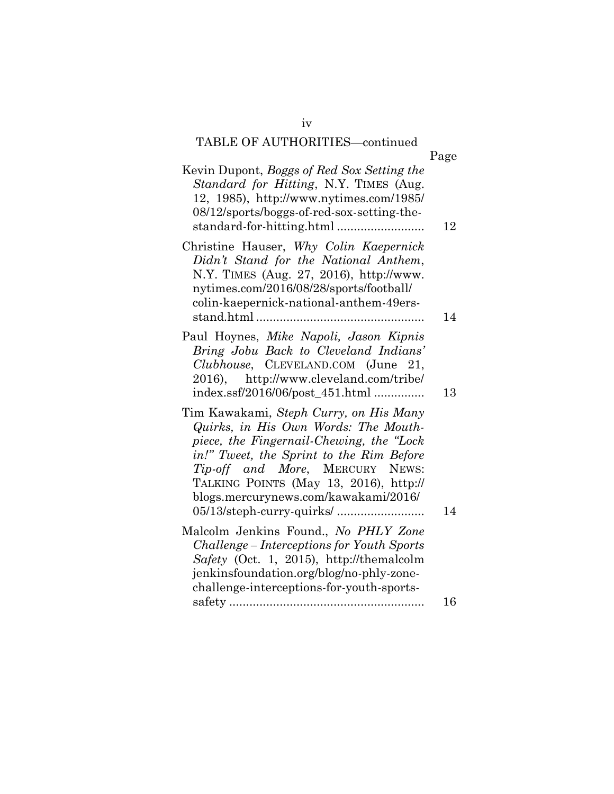# TABLE OF AUTHORITIES—continued

|                                                                                                                                                                                                                                                                                              | Page |
|----------------------------------------------------------------------------------------------------------------------------------------------------------------------------------------------------------------------------------------------------------------------------------------------|------|
| Kevin Dupont, Boggs of Red Sox Setting the<br>Standard for Hitting, N.Y. TIMES (Aug.<br>12, 1985), http://www.nytimes.com/1985/<br>08/12/sports/boggs-of-red-sox-setting-the-<br>standard-for-hitting.html                                                                                   | 12   |
| Christine Hauser, Why Colin Kaepernick<br>Didn't Stand for the National Anthem,<br>N.Y. TIMES (Aug. 27, 2016), http://www.<br>nytimes.com/2016/08/28/sports/football/<br>colin-kaepernick-national-anthem-49ers-                                                                             | 14   |
| Paul Hoynes, Mike Napoli, Jason Kipnis<br>Bring Jobu Back to Cleveland Indians'<br>Clubhouse, CLEVELAND.COM (June 21,<br>2016), http://www.cleveland.com/tribe/<br>index.ssf/2016/06/post_451.html                                                                                           | 13   |
| Tim Kawakami, Steph Curry, on His Many<br>Quirks, in His Own Words: The Mouth-<br>piece, the Fingernail-Chewing, the "Lock"<br>in!" Tweet, the Sprint to the Rim Before<br>Tip-off and More, MERCURY NEWS:<br>TALKING POINTS (May 13, 2016), http://<br>blogs.mercurynews.com/kawakami/2016/ | 14   |
| Malcolm Jenkins Found., No PHLY Zone<br>Challenge – Interceptions for Youth Sports<br>Safety (Oct. 1, 2015), http://themalcolm<br>jenkinsfoundation.org/blog/no-phly-zone-<br>challenge-interceptions-for-youth-sports-                                                                      | 16   |
|                                                                                                                                                                                                                                                                                              |      |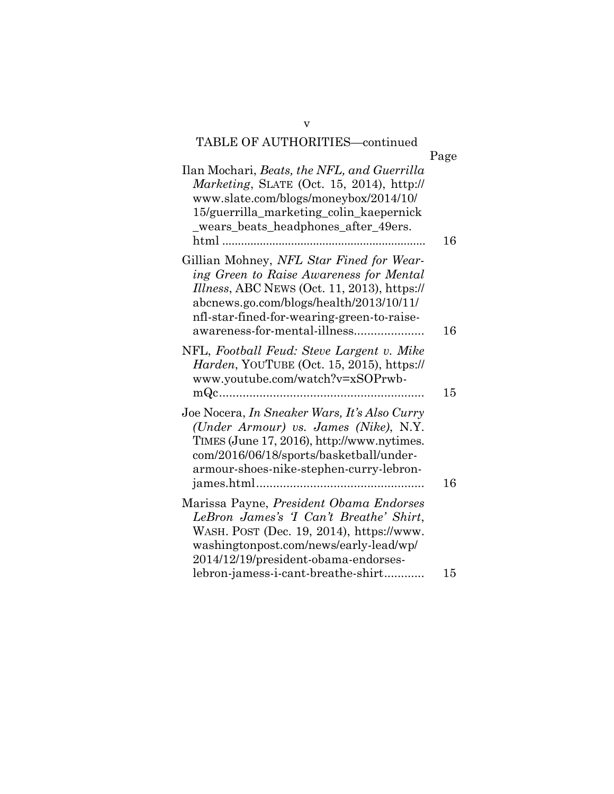## TABLE OF AUTHORITIES—continued

|                                                                                                                                                                                                                                                             | Page |
|-------------------------------------------------------------------------------------------------------------------------------------------------------------------------------------------------------------------------------------------------------------|------|
| Ilan Mochari, <i>Beats, the NFL, and Guerrilla</i><br>Marketing, SLATE (Oct. 15, 2014), http://<br>www.slate.com/blogs/moneybox/2014/10/<br>15/guerrilla_marketing_colin_kaepernick<br>_wears_beats_headphones_after_49ers.                                 | 16   |
| Gillian Mohney, NFL Star Fined for Wear-<br>ing Green to Raise Awareness for Mental<br>Illness, ABC NEWS (Oct. 11, 2013), https://<br>abcnews.go.com/blogs/health/2013/10/11/<br>nfl-star-fined-for-wearing-green-to-raise-<br>awareness-for-mental-illness | 16   |
| NFL, Football Feud: Steve Largent v. Mike<br>Harden, YOUTUBE (Oct. 15, 2015), https://<br>www.youtube.com/watch?v=xSOPrwb-                                                                                                                                  | 15   |
| Joe Nocera, <i>In Sneaker Wars, It's Also Curry</i><br>(Under Armour) vs. James (Nike), N.Y.<br>TIMES (June 17, 2016), http://www.nytimes.<br>com/2016/06/18/sports/basketball/under-<br>armour-shoes-nike-stephen-curry-lebron-                            | 16   |
| Marissa Payne, <i>President Obama Endorses</i><br>LeBron James's 'I Can't Breathe' Shirt,<br>WASH. POST (Dec. 19, 2014), https://www.<br>washingtonpost.com/news/early-lead/wp/<br>2014/12/19/president-obama-endorses-                                     |      |
| lebron-jamess-i-cant-breathe-shirt                                                                                                                                                                                                                          | 15   |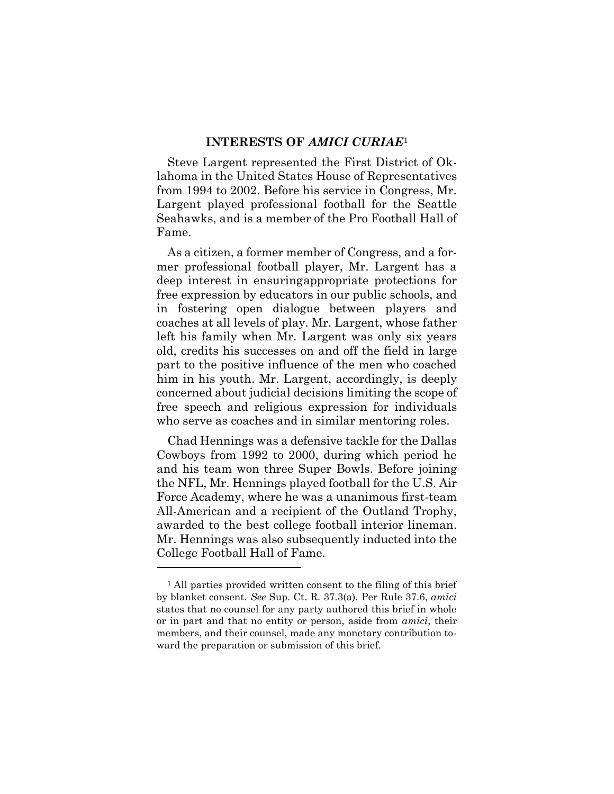#### **INTERESTS OF** *AMICI CURIAE*<sup>1</sup>

Steve Largent represented the First District of Oklahoma in the United States House of Representatives from 1994 to 2002. Before his service in Congress, Mr. Largent played professional football for the Seattle Seahawks, and is a member of the Pro Football Hall of Fame.

As a citizen, a former member of Congress, and a former professional football player, Mr. Largent has a deep interest in ensuringappropriate protections for free expression by educators in our public schools, and in fostering open dialogue between players and coaches at all levels of play. Mr. Largent, whose father left his family when Mr. Largent was only six years old, credits his successes on and off the field in large part to the positive influence of the men who coached him in his youth. Mr. Largent, accordingly, is deeply concerned about judicial decisions limiting the scope of free speech and religious expression for individuals who serve as coaches and in similar mentoring roles.

Chad Hennings was a defensive tackle for the Dallas Cowboys from 1992 to 2000, during which period he and his team won three Super Bowls. Before joining the NFL, Mr. Hennings played football for the U.S. Air Force Academy, where he was a unanimous first-team All-American and a recipient of the Outland Trophy, awarded to the best college football interior lineman. Mr. Hennings was also subsequently inducted into the College Football Hall of Fame.

<sup>&</sup>lt;sup>1</sup> All parties provided written consent to the filing of this brief by blanket consent. *See* Sup. Ct. R. 37.3(a). Per Rule 37.6, *amici*  states that no counsel for any party authored this brief in whole or in part and that no entity or person, aside from *amici*, their members, and their counsel, made any monetary contribution toward the preparation or submission of this brief.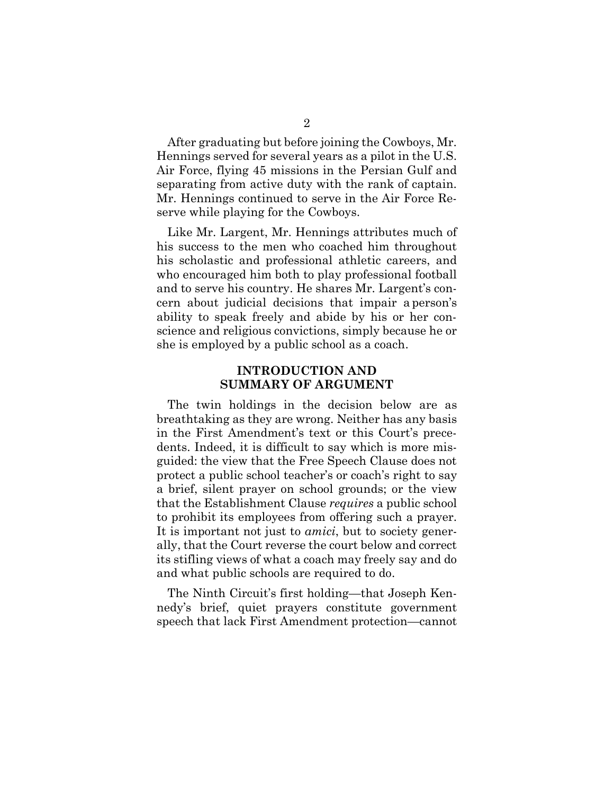After graduating but before joining the Cowboys, Mr. Hennings served for several years as a pilot in the U.S. Air Force, flying 45 missions in the Persian Gulf and separating from active duty with the rank of captain. Mr. Hennings continued to serve in the Air Force Reserve while playing for the Cowboys.

Like Mr. Largent, Mr. Hennings attributes much of his success to the men who coached him throughout his scholastic and professional athletic careers, and who encouraged him both to play professional football and to serve his country. He shares Mr. Largent's concern about judicial decisions that impair a person's ability to speak freely and abide by his or her conscience and religious convictions, simply because he or she is employed by a public school as a coach.

#### **INTRODUCTION AND SUMMARY OF ARGUMENT**

The twin holdings in the decision below are as breathtaking as they are wrong. Neither has any basis in the First Amendment's text or this Court's precedents. Indeed, it is difficult to say which is more misguided: the view that the Free Speech Clause does not protect a public school teacher's or coach's right to say a brief, silent prayer on school grounds; or the view that the Establishment Clause *requires* a public school to prohibit its employees from offering such a prayer. It is important not just to *amici*, but to society generally, that the Court reverse the court below and correct its stifling views of what a coach may freely say and do and what public schools are required to do.

The Ninth Circuit's first holding—that Joseph Kennedy's brief, quiet prayers constitute government speech that lack First Amendment protection—cannot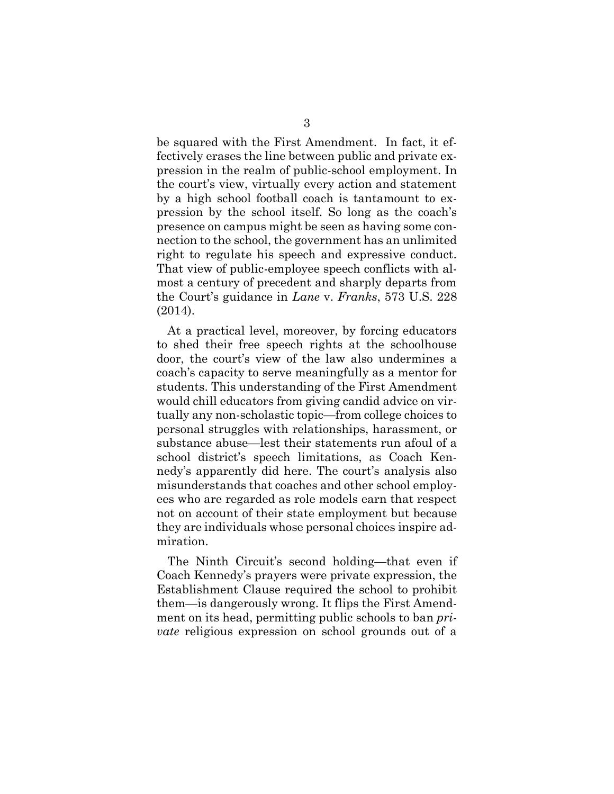be squared with the First Amendment. In fact, it effectively erases the line between public and private expression in the realm of public-school employment. In the court's view, virtually every action and statement by a high school football coach is tantamount to expression by the school itself. So long as the coach's presence on campus might be seen as having some connection to the school, the government has an unlimited right to regulate his speech and expressive conduct. That view of public-employee speech conflicts with almost a century of precedent and sharply departs from the Court's guidance in *Lane* v. *Franks*, 573 U.S. 228 (2014).

<span id="page-8-0"></span>At a practical level, moreover, by forcing educators to shed their free speech rights at the schoolhouse door, the court's view of the law also undermines a coach's capacity to serve meaningfully as a mentor for students. This understanding of the First Amendment would chill educators from giving candid advice on virtually any non-scholastic topic—from college choices to personal struggles with relationships, harassment, or substance abuse—lest their statements run afoul of a school district's speech limitations, as Coach Kennedy's apparently did here. The court's analysis also misunderstands that coaches and other school employees who are regarded as role models earn that respect not on account of their state employment but because they are individuals whose personal choices inspire admiration.

The Ninth Circuit's second holding—that even if Coach Kennedy's prayers were private expression, the Establishment Clause required the school to prohibit them—is dangerously wrong. It flips the First Amendment on its head, permitting public schools to ban *private* religious expression on school grounds out of a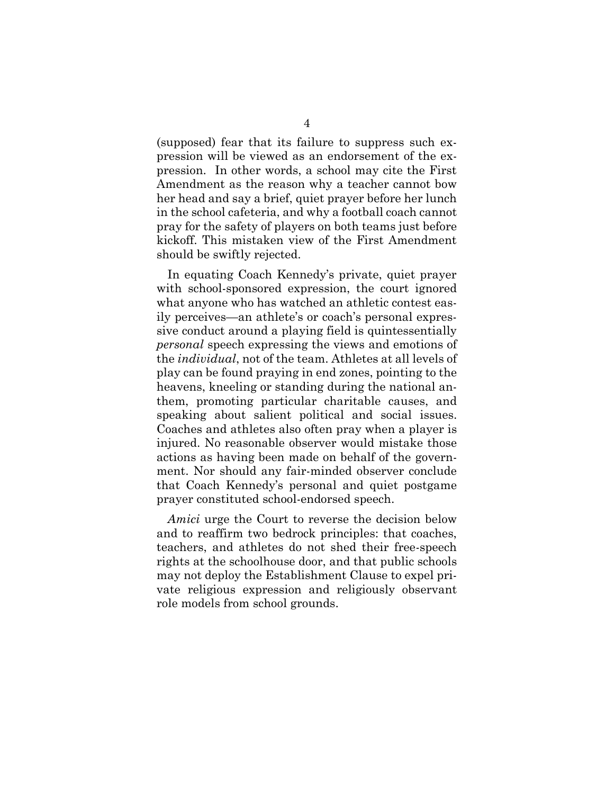(supposed) fear that its failure to suppress such expression will be viewed as an endorsement of the expression. In other words, a school may cite the First Amendment as the reason why a teacher cannot bow her head and say a brief, quiet prayer before her lunch in the school cafeteria, and why a football coach cannot pray for the safety of players on both teams just before kickoff. This mistaken view of the First Amendment should be swiftly rejected.

In equating Coach Kennedy's private, quiet prayer with school-sponsored expression, the court ignored what anyone who has watched an athletic contest easily perceives—an athlete's or coach's personal expressive conduct around a playing field is quintessentially *personal* speech expressing the views and emotions of the *individual*, not of the team. Athletes at all levels of play can be found praying in end zones, pointing to the heavens, kneeling or standing during the national anthem, promoting particular charitable causes, and speaking about salient political and social issues. Coaches and athletes also often pray when a player is injured. No reasonable observer would mistake those actions as having been made on behalf of the government. Nor should any fair-minded observer conclude that Coach Kennedy's personal and quiet postgame prayer constituted school-endorsed speech.

*Amici* urge the Court to reverse the decision below and to reaffirm two bedrock principles: that coaches, teachers, and athletes do not shed their free-speech rights at the schoolhouse door, and that public schools may not deploy the Establishment Clause to expel private religious expression and religiously observant role models from school grounds.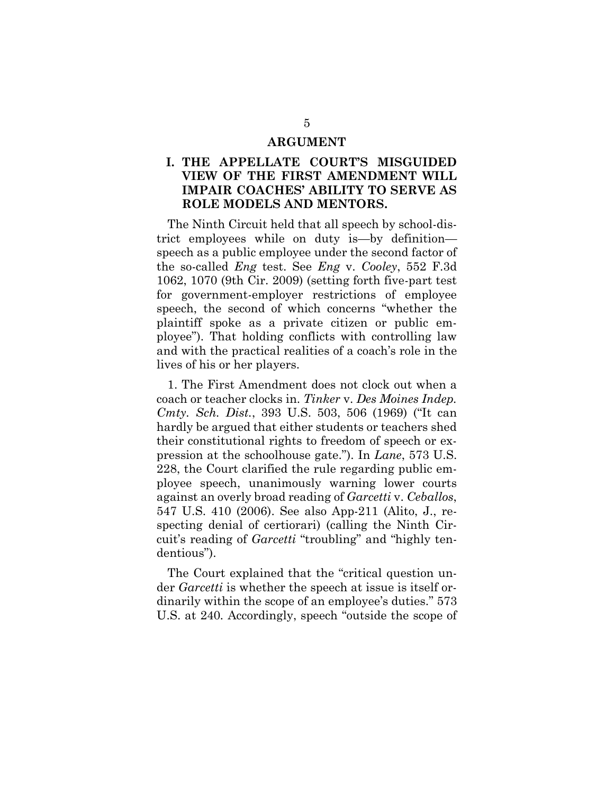#### <span id="page-10-0"></span>**ARGUMENT**

#### **I. THE APPELLATE COURT'S MISGUIDED VIEW OF THE FIRST AMENDMENT WILL IMPAIR COACHES' ABILITY TO SERVE AS ROLE MODELS AND MENTORS.**

The Ninth Circuit held that all speech by school-district employees while on duty is—by definition speech as a public employee under the second factor of the so-called *Eng* test. See *Eng* v. *Cooley*, 552 F.3d 1062, 1070 (9th Cir. 2009) (setting forth five-part test for government-employer restrictions of employee speech, the second of which concerns "whether the plaintiff spoke as a private citizen or public employee"). That holding conflicts with controlling law and with the practical realities of a coach's role in the lives of his or her players.

<span id="page-10-3"></span>1. The First Amendment does not clock out when a coach or teacher clocks in. *Tinker* v. *Des Moines Indep. Cmty. Sch. Dist.*, 393 U.S. 503, 506 (1969) ("It can hardly be argued that either students or teachers shed their constitutional rights to freedom of speech or expression at the schoolhouse gate."). In *Lane*, 573 U.S. 228, the Court clarified the rule regarding public employee speech, unanimously warning lower courts against an overly broad reading of *Garcetti* v. *Ceballos*, 547 U.S. 410 (2006). See also App-211 (Alito, J., respecting denial of certiorari) (calling the Ninth Circuit's reading of *Garcetti* "troubling" and "highly tendentious").

<span id="page-10-2"></span><span id="page-10-1"></span>The Court explained that the "critical question under *Garcetti* is whether the speech at issue is itself ordinarily within the scope of an employee's duties." 573 U.S. at 240*.* Accordingly, speech "outside the scope of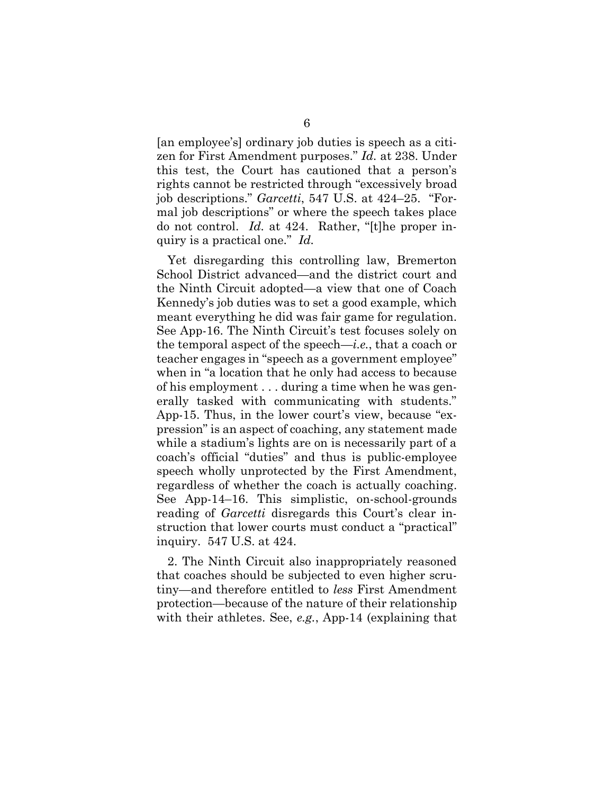[an employee's] ordinary job duties is speech as a citizen for First Amendment purposes." *Id.* at 238. Under this test, the Court has cautioned that a person's rights cannot be restricted through "excessively broad job descriptions." *Garcetti*, 547 U.S. at 424–25. "Formal job descriptions" or where the speech takes place do not control. *Id.* at 424. Rather, "[t]he proper inquiry is a practical one." *Id.*

Yet disregarding this controlling law, Bremerton School District advanced—and the district court and the Ninth Circuit adopted—a view that one of Coach Kennedy's job duties was to set a good example, which meant everything he did was fair game for regulation. See App-16. The Ninth Circuit's test focuses solely on the temporal aspect of the speech—*i.e.*, that a coach or teacher engages in "speech as a government employee" when in "a location that he only had access to because of his employment . . . during a time when he was generally tasked with communicating with students." App-15. Thus, in the lower court's view, because "expression" is an aspect of coaching, any statement made while a stadium's lights are on is necessarily part of a coach's official "duties" and thus is public-employee speech wholly unprotected by the First Amendment, regardless of whether the coach is actually coaching. See App-14–16. This simplistic, on-school-grounds reading of *Garcetti* disregards this Court's clear instruction that lower courts must conduct a "practical" inquiry. 547 U.S. at 424.

2. The Ninth Circuit also inappropriately reasoned that coaches should be subjected to even higher scrutiny—and therefore entitled to *less* First Amendment protection—because of the nature of their relationship with their athletes. See, *e.g.*, App-14 (explaining that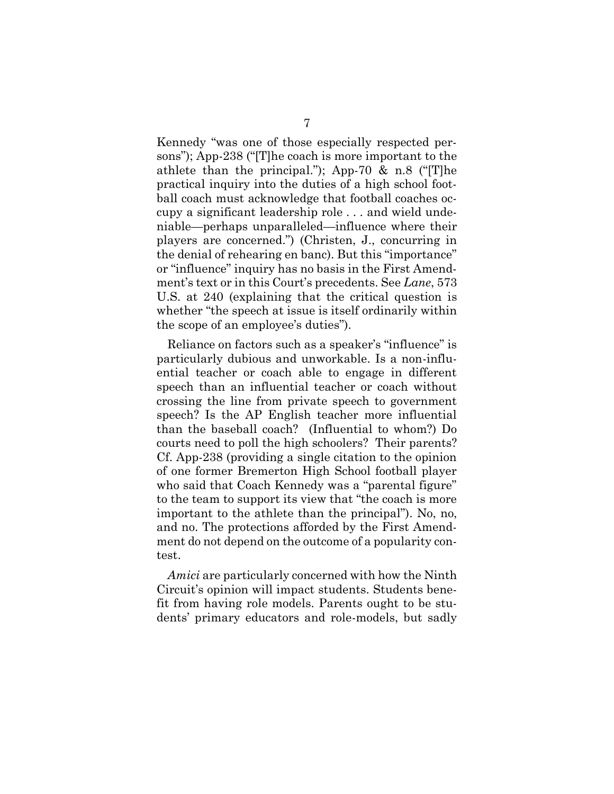Kennedy "was one of those especially respected persons"); App-238 ("[T]he coach is more important to the athlete than the principal."); App-70  $\&$  n.8 ("The practical inquiry into the duties of a high school football coach must acknowledge that football coaches occupy a significant leadership role . . . and wield undeniable—perhaps unparalleled—influence where their players are concerned.") (Christen, J., concurring in the denial of rehearing en banc). But this "importance" or "influence" inquiry has no basis in the First Amendment's text or in this Court's precedents. See *Lane*, 573 U.S. at 240 (explaining that the critical question is whether "the speech at issue is itself ordinarily within the scope of an employee's duties").

<span id="page-12-0"></span>Reliance on factors such as a speaker's "influence" is particularly dubious and unworkable. Is a non-influential teacher or coach able to engage in different speech than an influential teacher or coach without crossing the line from private speech to government speech? Is the AP English teacher more influential than the baseball coach? (Influential to whom?) Do courts need to poll the high schoolers? Their parents? Cf. App-238 (providing a single citation to the opinion of one former Bremerton High School football player who said that Coach Kennedy was a "parental figure" to the team to support its view that "the coach is more important to the athlete than the principal"). No, no, and no. The protections afforded by the First Amendment do not depend on the outcome of a popularity contest.

*Amici* are particularly concerned with how the Ninth Circuit's opinion will impact students. Students benefit from having role models. Parents ought to be students' primary educators and role-models, but sadly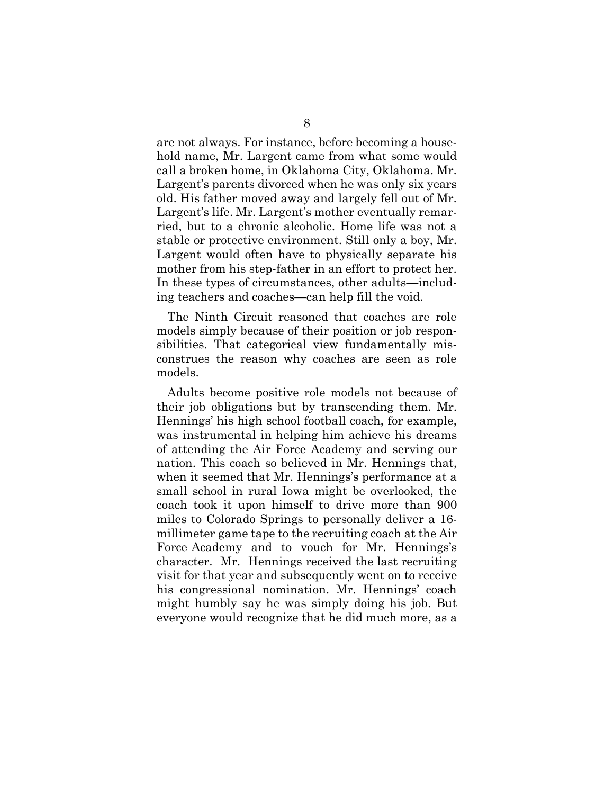are not always. For instance, before becoming a household name, Mr. Largent came from what some would call a broken home, in Oklahoma City, Oklahoma. Mr. Largent's parents divorced when he was only six years old. His father moved away and largely fell out of Mr. Largent's life. Mr. Largent's mother eventually remarried, but to a chronic alcoholic. Home life was not a stable or protective environment. Still only a boy, Mr. Largent would often have to physically separate his mother from his step-father in an effort to protect her. In these types of circumstances, other adults—including teachers and coaches—can help fill the void.

The Ninth Circuit reasoned that coaches are role models simply because of their position or job responsibilities. That categorical view fundamentally misconstrues the reason why coaches are seen as role models.

Adults become positive role models not because of their job obligations but by transcending them. Mr. Hennings' his high school football coach, for example, was instrumental in helping him achieve his dreams of attending the Air Force Academy and serving our nation. This coach so believed in Mr. Hennings that, when it seemed that Mr. Hennings's performance at a small school in rural Iowa might be overlooked, the coach took it upon himself to drive more than 900 miles to Colorado Springs to personally deliver a 16 millimeter game tape to the recruiting coach at the Air Force Academy and to vouch for Mr. Hennings's character. Mr. Hennings received the last recruiting visit for that year and subsequently went on to receive his congressional nomination. Mr. Hennings' coach might humbly say he was simply doing his job. But everyone would recognize that he did much more, as a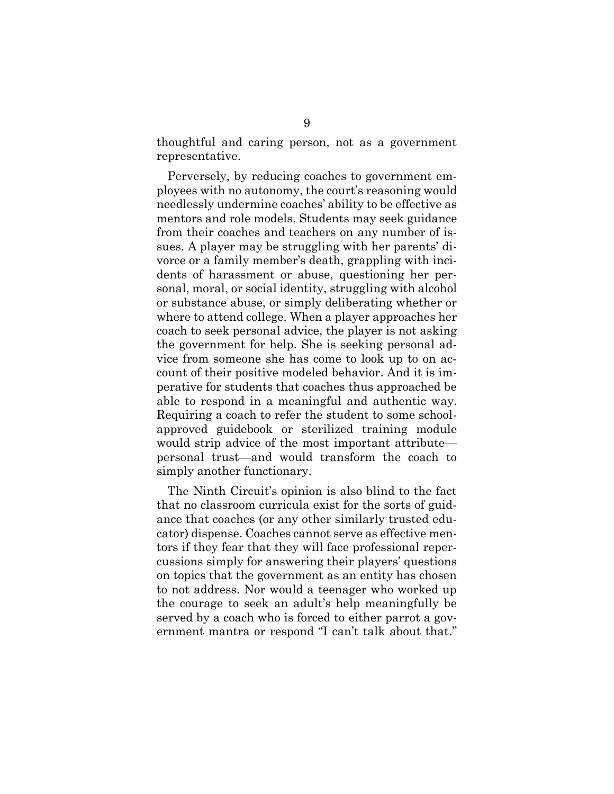thoughtful and caring person, not as a government representative.

Perversely, by reducing coaches to government employees with no autonomy, the court's reasoning would needlessly undermine coaches' ability to be effective as mentors and role models. Students may seek guidance from their coaches and teachers on any number of issues. A player may be struggling with her parents' divorce or a family member's death, grappling with incidents of harassment or abuse, questioning her personal, moral, or social identity, struggling with alcohol or substance abuse, or simply deliberating whether or where to attend college. When a player approaches her coach to seek personal advice, the player is not asking the government for help. She is seeking personal advice from someone she has come to look up to on account of their positive modeled behavior. And it is imperative for students that coaches thus approached be able to respond in a meaningful and authentic way. Requiring a coach to refer the student to some schoolapproved guidebook or sterilized training module would strip advice of the most important attribute personal trust—and would transform the coach to simply another functionary.

The Ninth Circuit's opinion is also blind to the fact that no classroom curricula exist for the sorts of guidance that coaches (or any other similarly trusted educator) dispense. Coaches cannot serve as effective mentors if they fear that they will face professional repercussions simply for answering their players' questions on topics that the government as an entity has chosen to not address. Nor would a teenager who worked up the courage to seek an adult's help meaningfully be served by a coach who is forced to either parrot a government mantra or respond "I can't talk about that."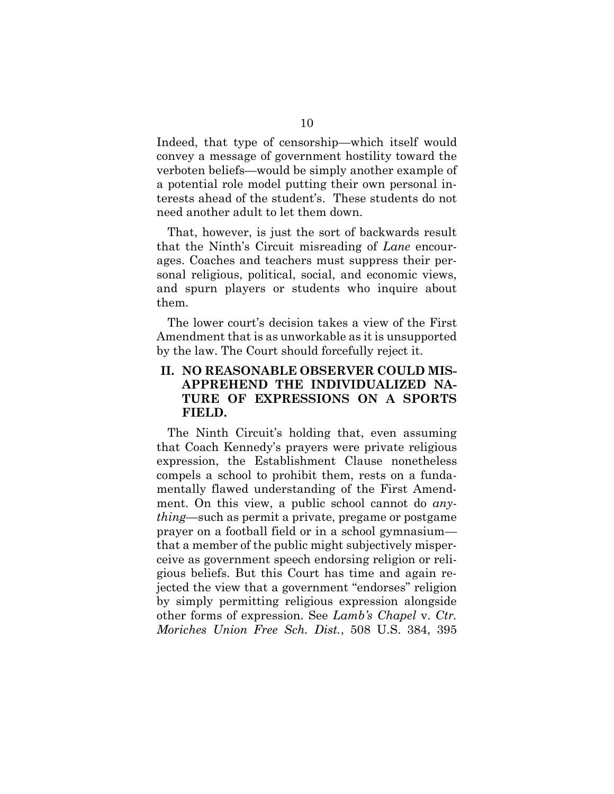Indeed, that type of censorship—which itself would convey a message of government hostility toward the verboten beliefs—would be simply another example of a potential role model putting their own personal interests ahead of the student's. These students do not need another adult to let them down.

That, however, is just the sort of backwards result that the Ninth's Circuit misreading of *Lane* encourages. Coaches and teachers must suppress their personal religious, political, social, and economic views, and spurn players or students who inquire about them.

The lower court's decision takes a view of the First Amendment that is as unworkable as it is unsupported by the law. The Court should forcefully reject it.

### **II. NO REASONABLE OBSERVER COULD MIS-APPREHEND THE INDIVIDUALIZED NA-TURE OF EXPRESSIONS ON A SPORTS FIELD.**

The Ninth Circuit's holding that, even assuming that Coach Kennedy's prayers were private religious expression, the Establishment Clause nonetheless compels a school to prohibit them, rests on a fundamentally flawed understanding of the First Amendment. On this view, a public school cannot do *anything*—such as permit a private, pregame or postgame prayer on a football field or in a school gymnasium that a member of the public might subjectively misperceive as government speech endorsing religion or religious beliefs. But this Court has time and again rejected the view that a government "endorses" religion by simply permitting religious expression alongside other forms of expression. See *Lamb's Chapel* v. *Ctr. Moriches Union Free Sch. Dist.*, 508 U.S. 384, 395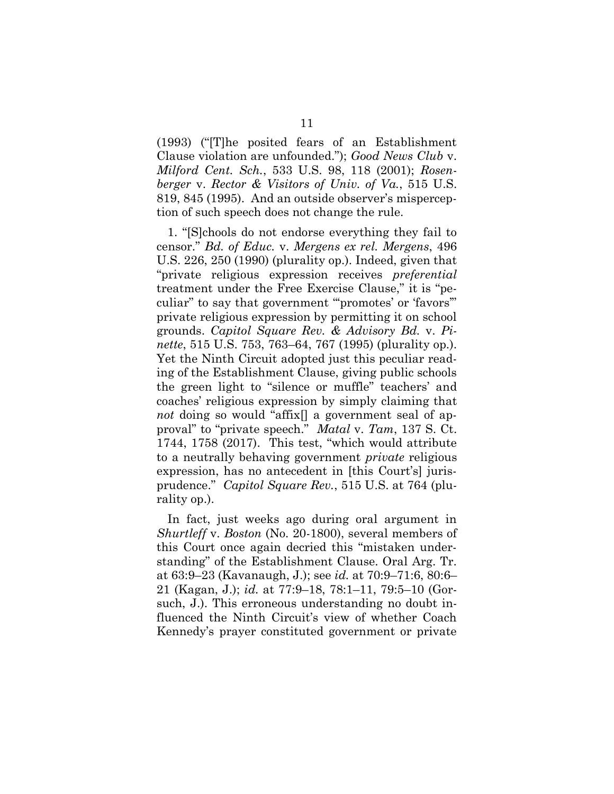(1993) ("[T]he posited fears of an Establishment Clause violation are unfounded."); *Good News Club* v. *Milford Cent. Sch.*, 533 U.S. 98, 118 (2001); *Rosenberger* v. *Rector & Visitors of Univ. of Va.*, 515 U.S. 819, 845 (1995). And an outside observer's misperception of such speech does not change the rule.

1. "[S]chools do not endorse everything they fail to censor." *Bd. of Educ.* v. *Mergens ex rel. Mergens*, 496 U.S. 226, 250 (1990) (plurality op.). Indeed, given that "private religious expression receives *preferential* treatment under the Free Exercise Clause," it is "peculiar" to say that government "'promotes' or 'favors'" private religious expression by permitting it on school grounds. *Capitol Square Rev. & Advisory Bd.* v. *Pinette*, 515 U.S. 753, 763–64, 767 (1995) (plurality op.). Yet the Ninth Circuit adopted just this peculiar reading of the Establishment Clause, giving public schools the green light to "silence or muffle" teachers' and coaches' religious expression by simply claiming that *not* doing so would "affix" a government seal of approval" to "private speech." *Matal* v. *Tam*, 137 S. Ct. 1744, 1758 (2017). This test, "which would attribute to a neutrally behaving government *private* religious expression, has no antecedent in [this Court's] jurisprudence." *Capitol Square Rev.*, 515 U.S. at 764 (plurality op.).

In fact, just weeks ago during oral argument in *Shurtleff* v. *Boston* (No. 20-1800), several members of this Court once again decried this "mistaken understanding" of the Establishment Clause. Oral Arg. Tr. at 63:9–23 (Kavanaugh, J.); see *id.* at 70:9–71:6, 80:6– 21 (Kagan, J.); *id.* at 77:9–18, 78:1–11, 79:5–10 (Gorsuch, J.). This erroneous understanding no doubt influenced the Ninth Circuit's view of whether Coach Kennedy's prayer constituted government or private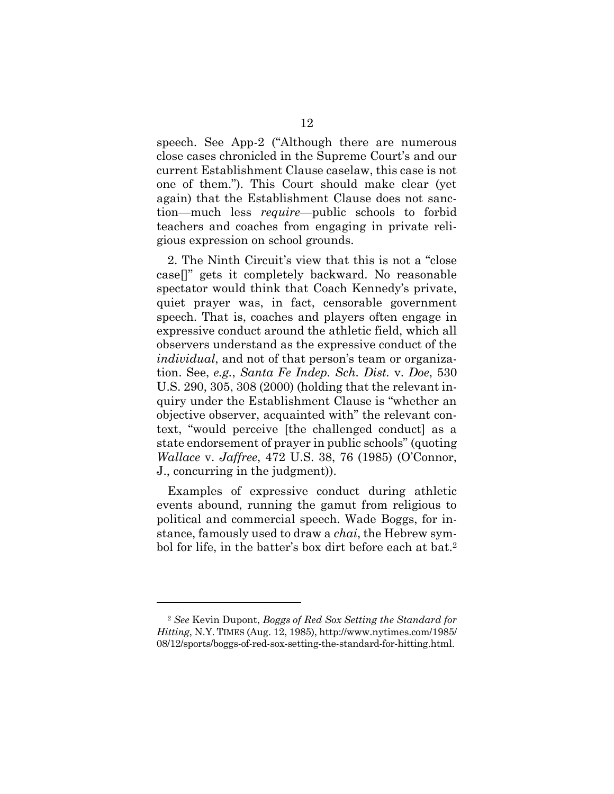speech. See App-2 ("Although there are numerous close cases chronicled in the Supreme Court's and our current Establishment Clause caselaw, this case is not one of them."). This Court should make clear (yet again) that the Establishment Clause does not sanction—much less *require*—public schools to forbid teachers and coaches from engaging in private religious expression on school grounds.

<span id="page-17-0"></span>2. The Ninth Circuit's view that this is not a "close case[]" gets it completely backward. No reasonable spectator would think that Coach Kennedy's private, quiet prayer was, in fact, censorable government speech. That is, coaches and players often engage in expressive conduct around the athletic field, which all observers understand as the expressive conduct of the *individual*, and not of that person's team or organization. See, *e.g.*, *Santa Fe Indep. Sch. Dist.* v. *Doe*, 530 U.S. 290, 305, 308 (2000) (holding that the relevant inquiry under the Establishment Clause is "whether an objective observer, acquainted with" the relevant context, "would perceive [the challenged conduct] as a state endorsement of prayer in public schools" (quoting *Wallace* v. *Jaffree*, 472 U.S. 38, 76 (1985) (O'Connor, J., concurring in the judgment)).

Examples of expressive conduct during athletic events abound, running the gamut from religious to political and commercial speech. Wade Boggs, for instance, famously used to draw a *chai*, the Hebrew symbol for life, in the batter's box dirt before each at bat.<sup>2</sup>

<sup>2</sup> *See* Kevin Dupont, *Boggs of Red Sox Setting the Standard for Hitting*, N.Y. TIMES (Aug. 12, 1985), http://www.nytimes.com/1985/ 08/12/sports/boggs-of-red-sox-setting-the-standard-for-hitting.html.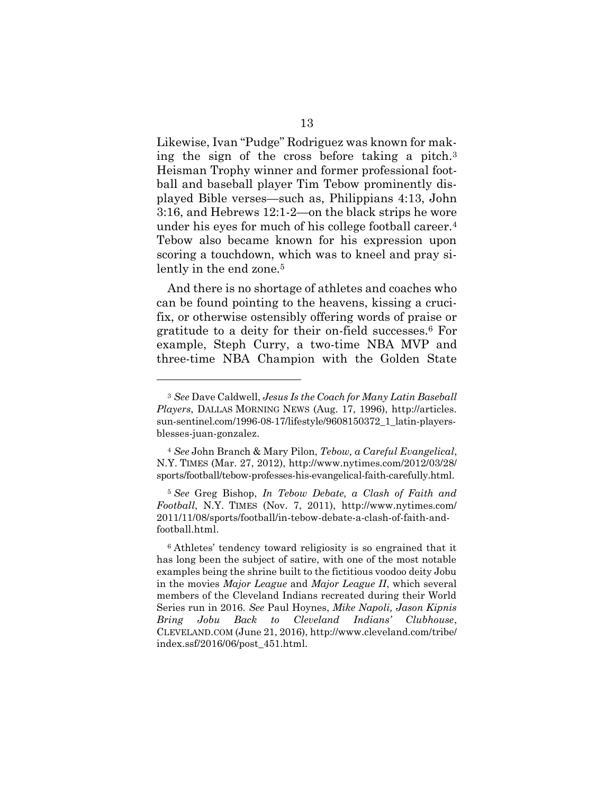Likewise, Ivan "Pudge" Rodriguez was known for making the sign of the cross before taking a pitch.<sup>3</sup> Heisman Trophy winner and former professional football and baseball player Tim Tebow prominently displayed Bible verses—such as, Philippians 4:13, John 3:16, and Hebrews 12:1-2—on the black strips he wore under his eyes for much of his college football career.<sup>4</sup> Tebow also became known for his expression upon scoring a touchdown, which was to kneel and pray silently in the end zone.<sup>5</sup>

And there is no shortage of athletes and coaches who can be found pointing to the heavens, kissing a crucifix, or otherwise ostensibly offering words of praise or gratitude to a deity for their on-field successes.<sup>6</sup> For example, Steph Curry, a two-time NBA MVP and three-time NBA Champion with the Golden State

<sup>3</sup> *See* Dave Caldwell, *Jesus Is the Coach for Many Latin Baseball Players*, DALLAS MORNING NEWS (Aug. 17, 1996), http://articles. sun-sentinel.com/1996-08-17/lifestyle/9608150372\_1\_latin-playersblesses-juan-gonzalez.

<sup>4</sup> *See* John Branch & Mary Pilon, *Tebow, a Careful Evangelical*, N.Y. TIMES (Mar. 27, 2012), http://www.nytimes.com/2012/03/28/ sports/football/tebow-professes-his-evangelical-faith-carefully.html.

<sup>5</sup> *See* Greg Bishop, *In Tebow Debate, a Clash of Faith and Football*, N.Y. TIMES (Nov. 7, 2011), http://www.nytimes.com/ 2011/11/08/sports/football/in-tebow-debate-a-clash-of-faith-andfootball.html.

<sup>6</sup> Athletes' tendency toward religiosity is so engrained that it has long been the subject of satire, with one of the most notable examples being the shrine built to the fictitious voodoo deity Jobu in the movies *Major League* and *Major League II*, which several members of the Cleveland Indians recreated during their World Series run in 2016. *See* Paul Hoynes, *Mike Napoli, Jason Kipnis Bring Jobu Back to Cleveland Indians' Clubhouse*, CLEVELAND.COM (June 21, 2016), http://www.cleveland.com/tribe/ index.ssf/2016/06/post\_451.html.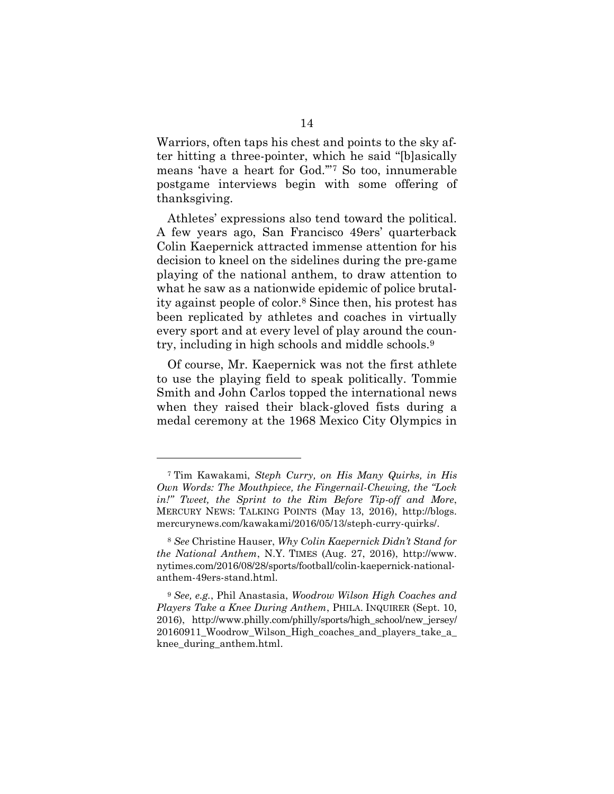Warriors, often taps his chest and points to the sky after hitting a three-pointer, which he said "[b]asically means 'have a heart for God.'"<sup>7</sup> So too, innumerable postgame interviews begin with some offering of thanksgiving.

Athletes' expressions also tend toward the political. A few years ago, San Francisco 49ers' quarterback Colin Kaepernick attracted immense attention for his decision to kneel on the sidelines during the pre-game playing of the national anthem, to draw attention to what he saw as a nationwide epidemic of police brutality against people of color.<sup>8</sup> Since then, his protest has been replicated by athletes and coaches in virtually every sport and at every level of play around the country, including in high schools and middle schools.<sup>9</sup>

Of course, Mr. Kaepernick was not the first athlete to use the playing field to speak politically. Tommie Smith and John Carlos topped the international news when they raised their black-gloved fists during a medal ceremony at the 1968 Mexico City Olympics in

<sup>7</sup> Tim Kawakami, *Steph Curry, on His Many Quirks, in His Own Words: The Mouthpiece, the Fingernail-Chewing, the "Lock in!" Tweet, the Sprint to the Rim Before Tip-off and More*, MERCURY NEWS: TALKING POINTS (May 13, 2016), http://blogs. mercurynews.com/kawakami/2016/05/13/steph-curry-quirks/.

<sup>8</sup> *See* Christine Hauser, *Why Colin Kaepernick Didn't Stand for the National Anthem*, N.Y. TIMES (Aug. 27, 2016), http://www. nytimes.com/2016/08/28/sports/football/colin-kaepernick-nationalanthem-49ers-stand.html.

<span id="page-19-0"></span><sup>9</sup> *See, e.g.*, Phil Anastasia, *Woodrow Wilson High Coaches and Players Take a Knee During Anthem*, PHILA. INQUIRER (Sept. 10, 2016), http://www.philly.com/philly/sports/high\_school/new\_jersey/ 20160911\_Woodrow\_Wilson\_High\_coaches\_and\_players\_take\_a\_ knee\_during\_anthem.html.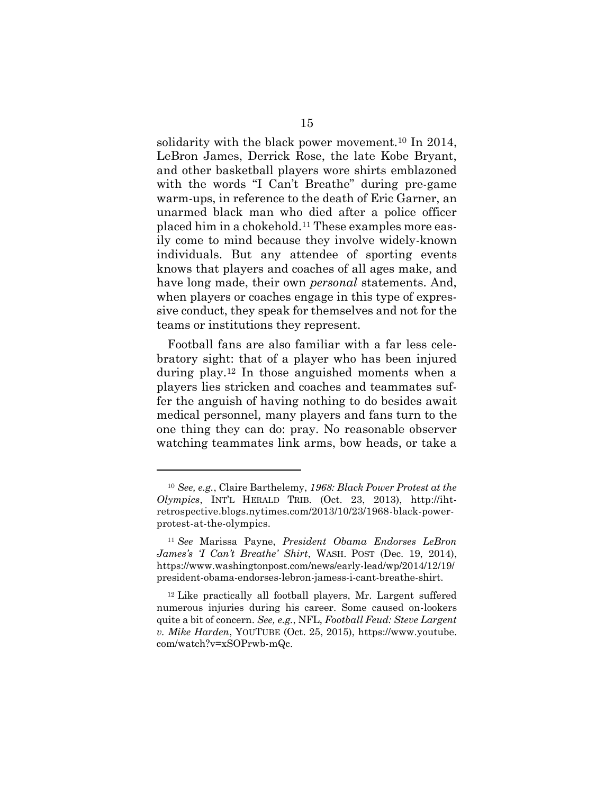solidarity with the black power movement.<sup>10</sup> In 2014, LeBron James, Derrick Rose, the late Kobe Bryant, and other basketball players wore shirts emblazoned with the words "I Can't Breathe" during pre-game warm-ups, in reference to the death of Eric Garner, an unarmed black man who died after a police officer placed him in a chokehold.<sup>11</sup> These examples more easily come to mind because they involve widely-known individuals. But any attendee of sporting events knows that players and coaches of all ages make, and have long made, their own *personal* statements. And, when players or coaches engage in this type of expressive conduct, they speak for themselves and not for the teams or institutions they represent.

Football fans are also familiar with a far less celebratory sight: that of a player who has been injured during play.<sup>12</sup> In those anguished moments when a players lies stricken and coaches and teammates suffer the anguish of having nothing to do besides await medical personnel, many players and fans turn to the one thing they can do: pray. No reasonable observer watching teammates link arms, bow heads, or take a

<span id="page-20-0"></span><sup>10</sup> *See, e.g.*, Claire Barthelemy, *1968: Black Power Protest at the Olympics*, INT'L HERALD TRIB. (Oct. 23, 2013), http://ihtretrospective.blogs.nytimes.com/2013/10/23/1968-black-powerprotest-at-the-olympics.

<sup>11</sup> *See* Marissa Payne, *President Obama Endorses LeBron James's 'I Can't Breathe' Shirt*, WASH. POST (Dec. 19, 2014), https://www.washingtonpost.com/news/early-lead/wp/2014/12/19/ president-obama-endorses-lebron-jamess-i-cant-breathe-shirt.

<sup>12</sup> Like practically all football players, Mr. Largent suffered numerous injuries during his career. Some caused on-lookers quite a bit of concern. *See, e.g.*, NFL, *Football Feud: Steve Largent v. Mike Harden*, YOUTUBE (Oct. 25, 2015), https://www.youtube. com/watch?v=xSOPrwb-mQc.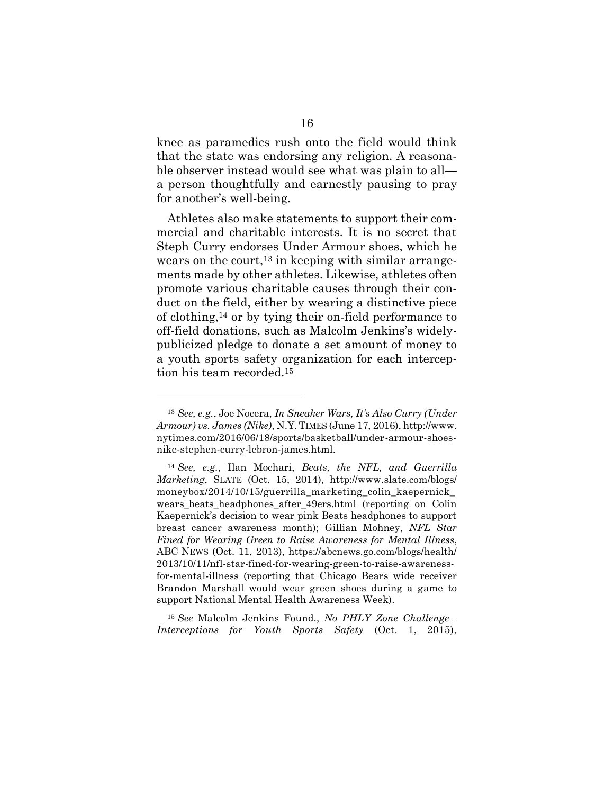knee as paramedics rush onto the field would think that the state was endorsing any religion. A reasonable observer instead would see what was plain to all a person thoughtfully and earnestly pausing to pray for another's well-being.

Athletes also make statements to support their commercial and charitable interests. It is no secret that Steph Curry endorses Under Armour shoes, which he wears on the court,<sup>13</sup> in keeping with similar arrangements made by other athletes. Likewise, athletes often promote various charitable causes through their conduct on the field, either by wearing a distinctive piece of clothing,<sup>14</sup> or by tying their on-field performance to off-field donations, such as Malcolm Jenkins's widelypublicized pledge to donate a set amount of money to a youth sports safety organization for each interception his team recorded.<sup>15</sup>

<sup>13</sup> *See, e.g.*, Joe Nocera, *In Sneaker Wars, It's Also Curry (Under Armour) vs. James (Nike)*, N.Y. TIMES (June 17, 2016), http://www. nytimes.com/2016/06/18/sports/basketball/under-armour-shoesnike-stephen-curry-lebron-james.html.

<sup>14</sup> *See, e.g.*, Ilan Mochari, *Beats, the NFL, and Guerrilla Marketing*, SLATE (Oct. 15, 2014), http://www.slate.com/blogs/ moneybox/2014/10/15/guerrilla\_marketing\_colin\_kaepernick\_ wears\_beats\_headphones\_after\_49ers.html (reporting on Colin Kaepernick's decision to wear pink Beats headphones to support breast cancer awareness month); Gillian Mohney, *NFL Star Fined for Wearing Green to Raise Awareness for Mental Illness*, ABC NEWS (Oct. 11, 2013), https://abcnews.go.com/blogs/health/ 2013/10/11/nfl-star-fined-for-wearing-green-to-raise-awarenessfor-mental-illness (reporting that Chicago Bears wide receiver Brandon Marshall would wear green shoes during a game to support National Mental Health Awareness Week).

<sup>15</sup> *See* Malcolm Jenkins Found., *No PHLY Zone Challenge – Interceptions for Youth Sports Safety* (Oct. 1, 2015),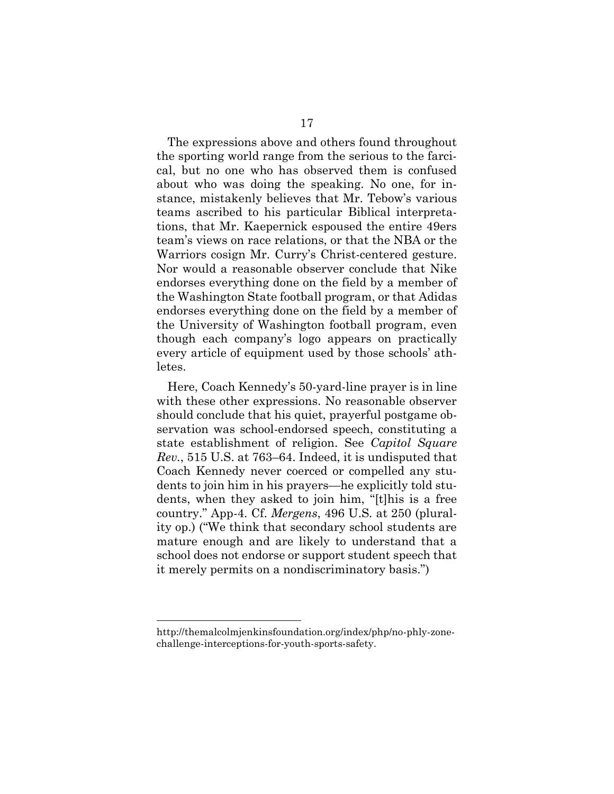The expressions above and others found throughout the sporting world range from the serious to the farcical, but no one who has observed them is confused about who was doing the speaking. No one, for instance, mistakenly believes that Mr. Tebow's various teams ascribed to his particular Biblical interpretations, that Mr. Kaepernick espoused the entire 49ers team's views on race relations, or that the NBA or the Warriors cosign Mr. Curry's Christ-centered gesture. Nor would a reasonable observer conclude that Nike endorses everything done on the field by a member of the Washington State football program, or that Adidas endorses everything done on the field by a member of the University of Washington football program, even though each company's logo appears on practically every article of equipment used by those schools' athletes.

Here, Coach Kennedy's 50-yard-line prayer is in line with these other expressions. No reasonable observer should conclude that his quiet, prayerful postgame observation was school-endorsed speech, constituting a state establishment of religion. See *Capitol Square Rev.*, 515 U.S. at 763–64. Indeed, it is undisputed that Coach Kennedy never coerced or compelled any students to join him in his prayers—he explicitly told students, when they asked to join him, "[t]his is a free country." App-4. Cf. *Mergens*, 496 U.S. at 250 (plurality op.) ("We think that secondary school students are mature enough and are likely to understand that a school does not endorse or support student speech that it merely permits on a nondiscriminatory basis.")

http://themalcolmjenkinsfoundation.org/index/php/no-phly-zonechallenge-interceptions-for-youth-sports-safety.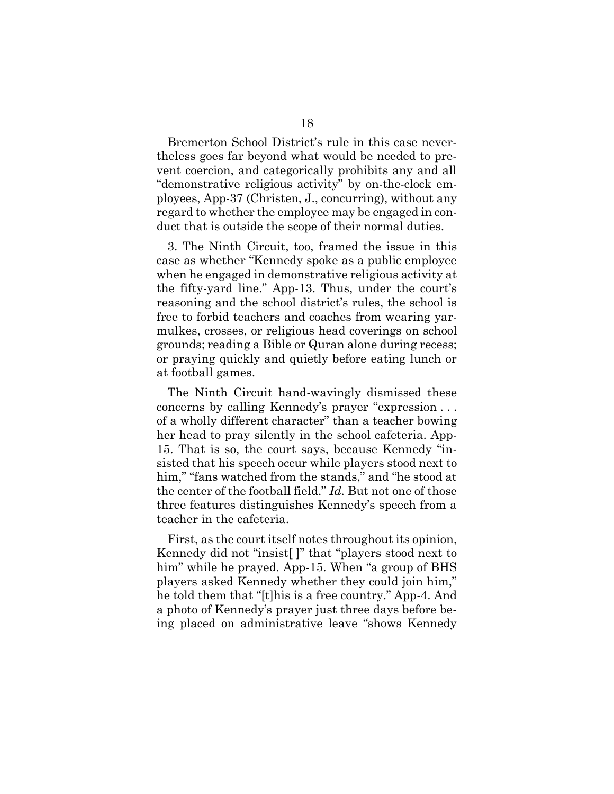Bremerton School District's rule in this case nevertheless goes far beyond what would be needed to prevent coercion, and categorically prohibits any and all "demonstrative religious activity" by on-the-clock employees, App-37 (Christen, J., concurring), without any regard to whether the employee may be engaged in conduct that is outside the scope of their normal duties.

3. The Ninth Circuit, too, framed the issue in this case as whether "Kennedy spoke as a public employee when he engaged in demonstrative religious activity at the fifty-yard line." App-13. Thus, under the court's reasoning and the school district's rules, the school is free to forbid teachers and coaches from wearing yarmulkes, crosses, or religious head coverings on school grounds; reading a Bible or Quran alone during recess; or praying quickly and quietly before eating lunch or at football games.

The Ninth Circuit hand-wavingly dismissed these concerns by calling Kennedy's prayer "expression . . . of a wholly different character" than a teacher bowing her head to pray silently in the school cafeteria. App-15. That is so, the court says, because Kennedy "insisted that his speech occur while players stood next to him," "fans watched from the stands," and "he stood at the center of the football field." *Id.* But not one of those three features distinguishes Kennedy's speech from a teacher in the cafeteria.

First, as the court itself notes throughout its opinion, Kennedy did not "insist[ ]" that "players stood next to him" while he prayed. App-15. When "a group of BHS players asked Kennedy whether they could join him," he told them that "[t]his is a free country." App-4. And a photo of Kennedy's prayer just three days before being placed on administrative leave "shows Kennedy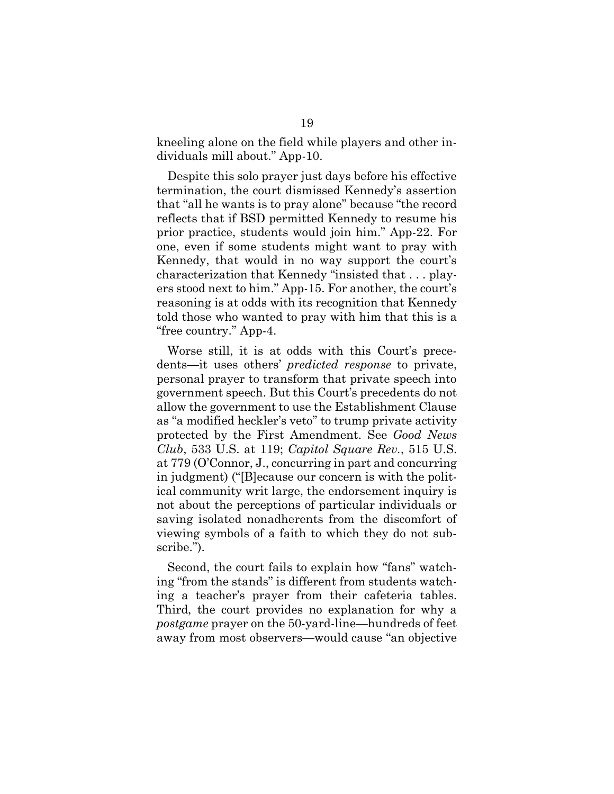kneeling alone on the field while players and other individuals mill about." App-10.

Despite this solo prayer just days before his effective termination, the court dismissed Kennedy's assertion that "all he wants is to pray alone" because "the record reflects that if BSD permitted Kennedy to resume his prior practice, students would join him." App-22. For one, even if some students might want to pray with Kennedy, that would in no way support the court's characterization that Kennedy "insisted that . . . players stood next to him." App-15. For another, the court's reasoning is at odds with its recognition that Kennedy told those who wanted to pray with him that this is a "free country." App-4.

<span id="page-24-0"></span>Worse still, it is at odds with this Court's precedents—it uses others' *predicted response* to private, personal prayer to transform that private speech into government speech. But this Court's precedents do not allow the government to use the Establishment Clause as "a modified heckler's veto" to trump private activity protected by the First Amendment. See *Good News Club*, 533 U.S. at 119; *Capitol Square Rev.*, 515 U.S. at 779 (O'Connor, J., concurring in part and concurring in judgment) ("[B]ecause our concern is with the political community writ large, the endorsement inquiry is not about the perceptions of particular individuals or saving isolated nonadherents from the discomfort of viewing symbols of a faith to which they do not subscribe.").

Second, the court fails to explain how "fans" watching "from the stands" is different from students watching a teacher's prayer from their cafeteria tables. Third, the court provides no explanation for why a *postgame* prayer on the 50-yard-line—hundreds of feet away from most observers—would cause "an objective